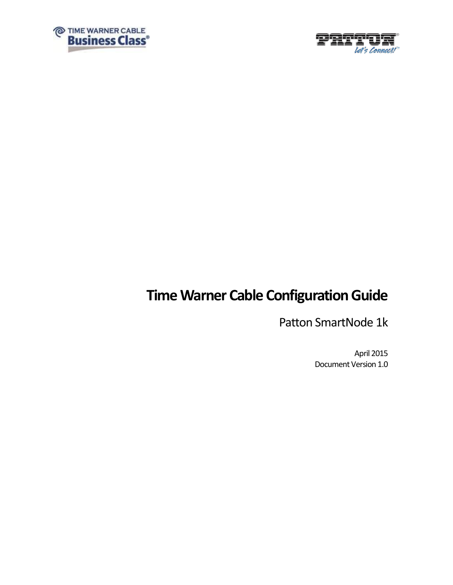



# **Time Warner Cable Configuration Guide**

Patton SmartNode 1k

April 2015 Document Version 1.0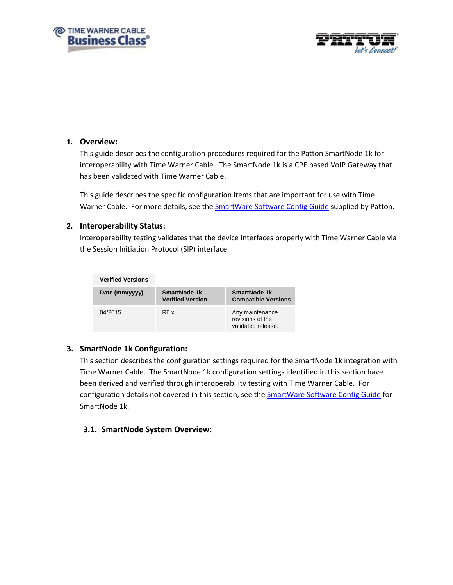



### **1. Overview:**

This guide describes the configuration procedures required for the Patton SmartNode 1k for interoperability with Time Warner Cable. The SmartNode 1k is a CPE based VoIP Gateway that has been validated with Time Warner Cable.

This guide describes the specific configuration items that are important for use with Time Warner Cable. For more details, see the **SmartWare Software Config Guide** supplied by Patton.

### **2. Interoperability Status:**

Interoperability testing validates that the device interfaces properly with Time Warner Cable via the Session Initiation Protocol (SIP) interface.

| <b>Verified Versions</b> |                                         |                                                           |
|--------------------------|-----------------------------------------|-----------------------------------------------------------|
| Date (mm/yyyy)           | SmartNode 1k<br><b>Verified Version</b> | SmartNode 1k<br><b>Compatible Versions</b>                |
| 04/2015                  | R <sub>6</sub> x                        | Any maintenance<br>revisions of the<br>validated release. |

### **3. SmartNode 1k Configuration:**

This section describes the configuration settings required for the SmartNode 1k integration with Time Warner Cable. The SmartNode 1k configuration settings identified in this section have been derived and verified through interoperability testing with Time Warner Cable. For configuration details not covered in this section, see the [SmartWare Software Config Guide](http://www.patton.com/manuals/SmartWare_SCG_r67.pdf) for SmartNode 1k.

### **3.1. SmartNode System Overview:**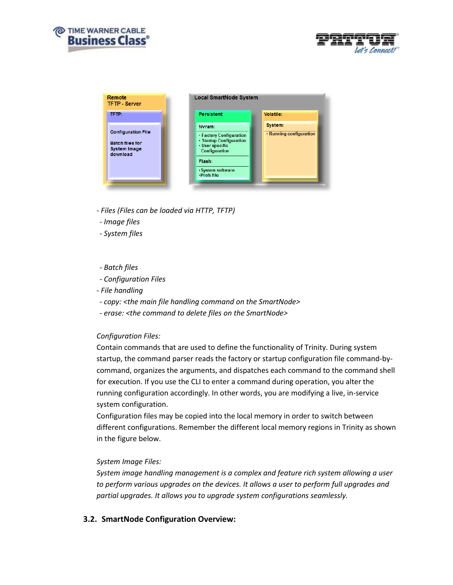



| Remote<br><b>TFTP - Server</b>                                                         | <b>Local SmartNode System</b>                                                                                                                                                       |
|----------------------------------------------------------------------------------------|-------------------------------------------------------------------------------------------------------------------------------------------------------------------------------------|
| TFTP:                                                                                  | <b>Persistent:</b><br>Volatile:                                                                                                                                                     |
| <b>Configuration File</b><br><b>Batch files for</b><br><b>System Image</b><br>download | System:<br>Nvram:<br>• Running configuration<br>• Factory Configuration<br>· Startup Configuration<br>· User specific<br>Configuration<br>Flash:<br>·System software<br>·Prefs file |

- *- Files (Files can be loaded via HTTP, TFTP)*
- *- Image files*
- *- System files*
- *- Batch files*
- *- Configuration Files*
- *- File handling*
- *- copy: <the main file handling command on the SmartNode>*
- *- erase: <the command to delete files on the SmartNode>*

#### *Configuration Files:*

Contain commands that are used to define the functionality of Trinity. During system startup, the command parser reads the factory or startup configuration file command-bycommand, organizes the arguments, and dispatches each command to the command shell for execution. If you use the CLI to enter a command during operation, you alter the running configuration accordingly. In other words, you are modifying a live, in-service system configuration.

Configuration files may be copied into the local memory in order to switch between different configurations. Remember the different local memory regions in Trinity as shown in the figure below.

#### *System Image Files:*

*System image handling management is a complex and feature rich system allowing a user to perform various upgrades on the devices. It allows a user to perform full upgrades and partial upgrades. It allows you to upgrade system configurations seamlessly.*

### **3.2. SmartNode Configuration Overview:**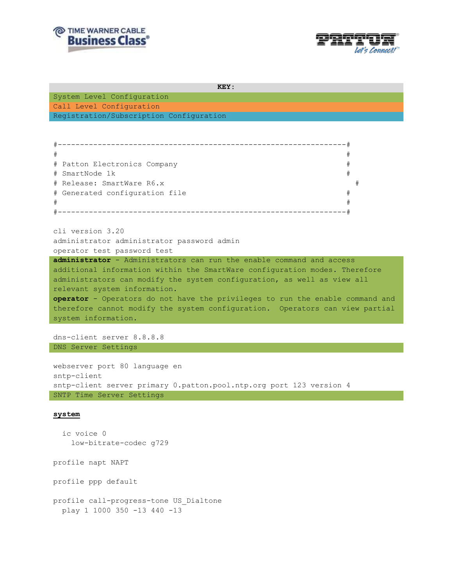



```
KEY:
```
System Level Configuration Call Level Configuration Registration/Subscription Configuration

```
#-----------------------------------------------------------------#
\# \qquad# Patton Electronics Company #
# SmartNode 1k #
# Release: SmartWare R6.x #
# Generated configuration file #
# #
#-----------------------------------------------------------------#
```
cli version 3.20 administrator administrator password admin operator test password test

**administrator** - Administrators can run the enable command and access additional information within the SmartWare configuration modes. Therefore administrators can modify the system configuration, as well as view all relevant system information. **operator** - Operators do not have the privileges to run the enable command and therefore cannot modify the system configuration. Operators can view partial system information.

dns-client server 8.8.8.8 DNS Server Settings

webserver port 80 language en sntp-client sntp-client server primary 0.patton.pool.ntp.org port 123 version 4 SNTP Time Server Settings

#### **system**

 ic voice 0 low-bitrate-codec g729

profile napt NAPT

profile ppp default

profile call-progress-tone US\_Dialtone play 1 1000 350 -13 440 -13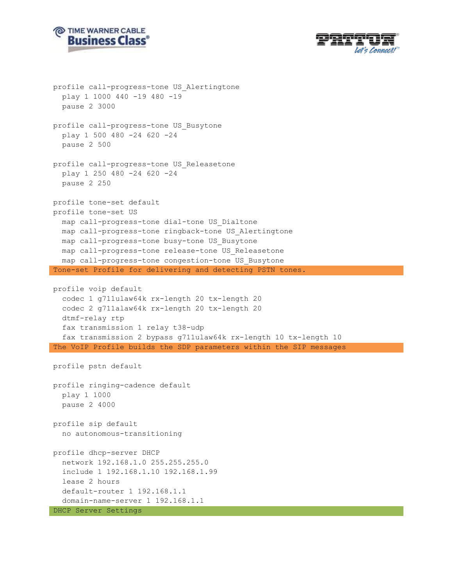



```
profile call-progress-tone US_Alertingtone
   play 1 1000 440 -19 480 -19
   pause 2 3000
profile call-progress-tone US_Busytone
   play 1 500 480 -24 620 -24
   pause 2 500
profile call-progress-tone US_Releasetone
   play 1 250 480 -24 620 -24
   pause 2 250
profile tone-set default
profile tone-set US
   map call-progress-tone dial-tone US_Dialtone
   map call-progress-tone ringback-tone US_Alertingtone
   map call-progress-tone busy-tone US_Busytone
  map call-progress-tone release-tone US_Releasetone
  map call-progress-tone congestion-tone US_Busytone
Tone-set Profile for delivering and detecting PSTN tones.
profile voip default
   codec 1 g711ulaw64k rx-length 20 tx-length 20
   codec 2 g711alaw64k rx-length 20 tx-length 20
   dtmf-relay rtp
   fax transmission 1 relay t38-udp
   fax transmission 2 bypass g711ulaw64k rx-length 10 tx-length 10
The VoIP Profile builds the SDP parameters within the SIP messages
profile pstn default
profile ringing-cadence default
  play 1 1000
  pause 2 4000
profile sip default
   no autonomous-transitioning
profile dhcp-server DHCP
   network 192.168.1.0 255.255.255.0
   include 1 192.168.1.10 192.168.1.99
   lease 2 hours
   default-router 1 192.168.1.1
   domain-name-server 1 192.168.1.1
DHCP Server Settings
```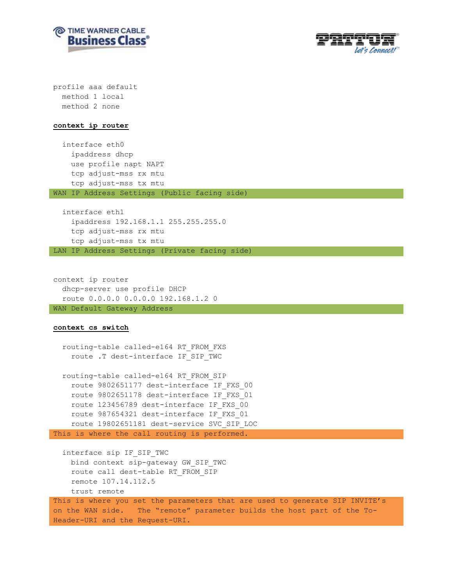



profile aaa default method 1 local method 2 none

#### **context ip router**

 interface eth0 ipaddress dhcp use profile napt NAPT tcp adjust-mss rx mtu tcp adjust-mss tx mtu WAN IP Address Settings (Public facing side)

 interface eth1 ipaddress 192.168.1.1 255.255.255.0 tcp adjust-mss rx mtu tcp adjust-mss tx mtu LAN IP Address Settings (Private facing side)

context ip router dhcp-server use profile DHCP route 0.0.0.0 0.0.0.0 192.168.1.2 0 WAN Default Gateway Address

#### **context cs switch**

 routing-table called-e164 RT\_FROM\_FXS route .T dest-interface IF\_SIP\_TWC

 routing-table called-e164 RT\_FROM\_SIP route 9802651177 dest-interface IF\_FXS\_00 route 9802651178 dest-interface IF\_FXS\_01 route 123456789 dest-interface IF\_FXS\_00 route 987654321 dest-interface IF\_FXS\_01 route 19802651181 dest-service SVC\_SIP\_LOC This is where the call routing is performed.

 interface sip IF\_SIP\_TWC bind context sip-gateway GW\_SIP\_TWC route call dest-table RT\_FROM\_SIP remote 107.14.112.5 trust remote This is where you set the parameters that are used to generate SIP INVITE's on the WAN side. The "remote" parameter builds the host part of the To-Header-URI and the Request-URI.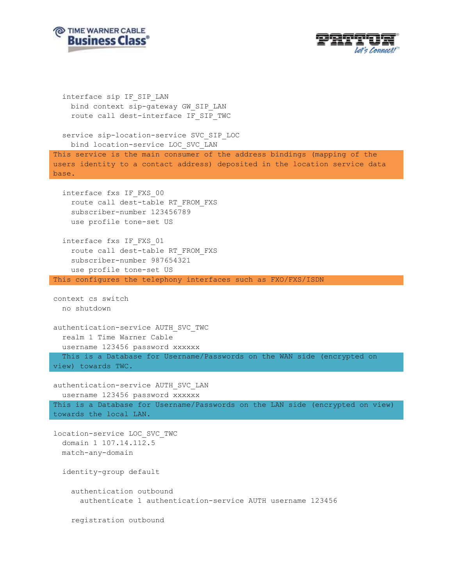



```
 interface sip IF_SIP_LAN
     bind context sip-gateway GW_SIP_LAN
     route call dest-interface IF_SIP_TWC
   service sip-location-service SVC_SIP_LOC
     bind location-service LOC_SVC_LAN
This service is the main consumer of the address bindings (mapping of the 
users identity to a contact address) deposited in the location service data 
base.
   interface fxs IF_FXS_00
     route call dest-table RT_FROM_FXS
     subscriber-number 123456789
     use profile tone-set US
   interface fxs IF_FXS_01
     route call dest-table RT_FROM_FXS
     subscriber-number 987654321
    use profile tone-set US
This configures the telephony interfaces such as FXO/FXS/ISDN
context cs switch
  no shutdown
authentication-service AUTH_SVC_TWC
   realm 1 Time Warner Cable
  username 123456 password xxxxxx 
   This is a Database for Username/Passwords on the WAN side (encrypted on 
view) towards TWC.
authentication-service AUTH_SVC_LAN
  username 123456 password xxxxxx 
This is a Database for Username/Passwords on the LAN side (encrypted on view) 
towards the local LAN.
location-service LOC_SVC_TWC
  domain 1 107.14.112.5
  match-any-domain
   identity-group default
     authentication outbound
       authenticate 1 authentication-service AUTH username 123456
     registration outbound
```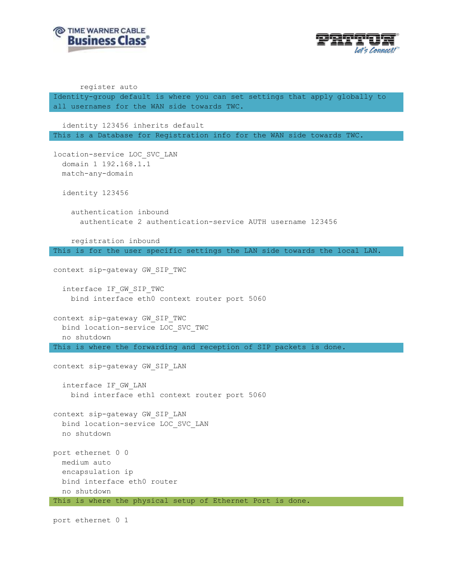



register auto

Identity-group default is where you can set settings that apply globally to all usernames for the WAN side towards TWC.

 identity 123456 inherits default This is a Database for Registration info for the WAN side towards TWC.

location-service LOC\_SVC\_LAN domain 1 192.168.1.1 match-any-domain

identity 123456

 authentication inbound authenticate 2 authentication-service AUTH username 123456

 registration inbound This is for the user specific settings the LAN side towards the local LAN.

context sip-gateway GW\_SIP\_TWC

 interface IF\_GW\_SIP\_TWC bind interface eth0 context router port 5060

context sip-gateway GW\_SIP\_TWC bind location-service LOC\_SVC\_TWC no shutdown This is where the forwarding and reception of SIP packets is done.

context sip-gateway GW\_SIP\_LAN

 interface IF\_GW\_LAN bind interface eth1 context router port 5060

context sip-gateway GW\_SIP\_LAN bind location-service LOC\_SVC\_LAN no shutdown

port ethernet 0 0 medium auto encapsulation ip bind interface eth0 router no shutdown This is where the physical setup of Ethernet Port is done.

port ethernet 0 1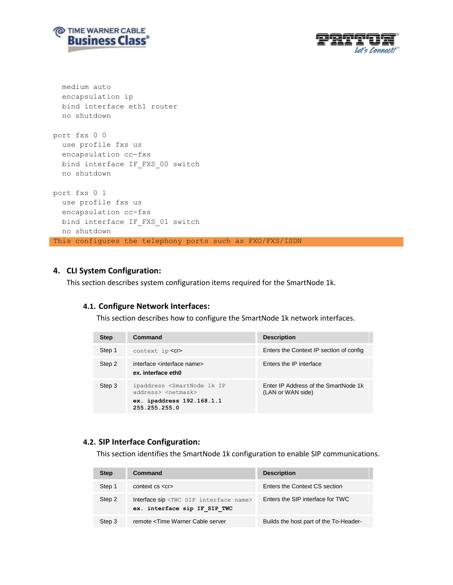



```
 medium auto
   encapsulation ip
  bind interface eth1 router
   no shutdown
port fxs 0 0
  use profile fxs us
  encapsulation cc-fxs
 bind interface IF FXS 00 switch
  no shutdown
port fxs 0 1
   use profile fxs us
   encapsulation cc-fxs
 bind interface IF FXS 01 switch
  no shutdown
This configures the telephony ports such as FXO/FXS/ISDN
```
### **4. CLI System Configuration:**

This section describes system configuration items required for the SmartNode 1k.

### **4.1. Configure Network Interfaces:**

This section describes how to configure the SmartNode 1k network interfaces.

| <b>Step</b> | Command                                                                                                                         | <b>Description</b>                                        |
|-------------|---------------------------------------------------------------------------------------------------------------------------------|-----------------------------------------------------------|
| Step 1      | $context$ ip $\langle$ Cr>                                                                                                      | Enters the Context IP section of config                   |
| Step 2      | interface <interface name=""><br/>ex. interface eth0</interface>                                                                | Enters the IP interface                                   |
| Step 3      | ipaddress <smartnode 1k="" ip<br="">address&gt; <netmask><br/>ex. ipaddress 192.168.1.1<br/>255.255.255.0</netmask></smartnode> | Enter IP Address of the SmartNode 1k<br>(LAN or WAN side) |

### **4.2. SIP Interface Configuration:**

This section identifies the SmartNode 1k configuration to enable SIP communications.

| <b>Step</b> | Command                                                                                                 | <b>Description</b>                     |
|-------------|---------------------------------------------------------------------------------------------------------|----------------------------------------|
| Step 1      | $context \ cs \ < cr>$                                                                                  | Enters the Context CS section          |
| Step 2      | Interface sip <twc interface="" name="" sip=""><br/>ex. interface sip IF SIP TWC</twc>                  | Enters the SIP interface for TWC       |
| Step 3      | remote <time cable="" server<="" td="" warner=""><td>Builds the host part of the To-Header-</td></time> | Builds the host part of the To-Header- |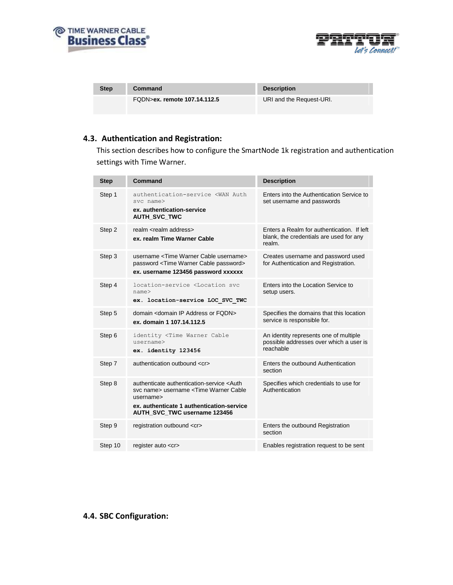



| <b>Step</b> | Command                      | <b>Description</b>       |
|-------------|------------------------------|--------------------------|
|             | FQDN>ex. remote 107.14.112.5 | URI and the Request-URI. |

# **4.3. Authentication and Registration:**

This section describes how to configure the SmartNode 1k registration and authentication settings with Time Warner.

| <b>Step</b> | Command                                                                                                                                                                                                     | <b>Description</b>                                                                              |
|-------------|-------------------------------------------------------------------------------------------------------------------------------------------------------------------------------------------------------------|-------------------------------------------------------------------------------------------------|
| Step 1      | authentication-service <wan auth<br="">svc name&gt;<br/>ex. authentication-service<br/><b>AUTH SVC TWC</b></wan>                                                                                            | Enters into the Authentication Service to<br>set username and passwords                         |
| Step 2      | realm <realm address=""><br/>ex. realm Time Warner Cable</realm>                                                                                                                                            | Enters a Realm for authentication. If left<br>blank, the credentials are used for any<br>realm. |
| Step 3      | username <time cable="" username="" warner=""><br/>password <time cable="" password="" warner=""><br/>ex. username 123456 password xxxxxx</time></time>                                                     | Creates username and password used<br>for Authentication and Registration.                      |
| Step 4      | location-service <location svc<br="">name<sub>2</sub><br/>ex. location-service LOC SVC TWC</location>                                                                                                       | Enters into the Location Service to<br>setup users.                                             |
| Step 5      | domain <domain address="" fqdn="" ip="" or=""><br/>ex. domain 1 107.14.112.5</domain>                                                                                                                       | Specifies the domains that this location<br>service is responsible for.                         |
| Step 6      | identity <time cable<br="" warner="">username<br/>ex. identity 123456</time>                                                                                                                                | An identity represents one of multiple<br>possible addresses over which a user is<br>reachable  |
| Step 7      | authentication outbound <cr></cr>                                                                                                                                                                           | Enters the outbound Authentication<br>section                                                   |
| Step 8      | authenticate authentication-service <auth<br>syc name&gt; username <time cable<br="" warner="">username&gt;<br/>ex. authenticate 1 authentication-service<br/>AUTH SVC TWC username 123456</time></auth<br> | Specifies which credentials to use for<br>Authentication                                        |
| Step 9      | registration outbound <cr></cr>                                                                                                                                                                             | Enters the outbound Registration<br>section                                                     |
| Step 10     | register auto <cr></cr>                                                                                                                                                                                     | Enables registration request to be sent                                                         |

# **4.4. SBC Configuration:**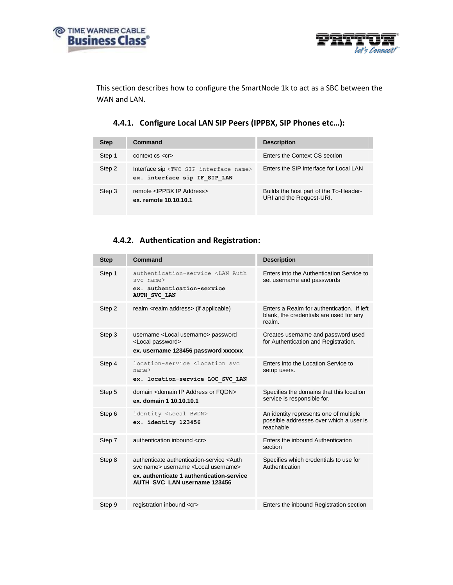



This section describes how to configure the SmartNode 1k to act as a SBC between the WAN and LAN.

# **4.4.1. Configure Local LAN SIP Peers (IPPBX, SIP Phones etc…):**

| <b>Step</b> | Command                                                                                | <b>Description</b>                                                 |
|-------------|----------------------------------------------------------------------------------------|--------------------------------------------------------------------|
| Step 1      | $context \ cs \ < cr>$                                                                 | Enters the Context CS section                                      |
| Step 2      | Interface sip <twc interface="" name="" sip=""><br/>ex. interface sip IF SIP LAN</twc> | Foters the SIP interface for Local LAN                             |
| Step 3      | remote <ippbx address="" ip=""><br/>ex. remote 10.10.10.1</ippbx>                      | Builds the host part of the To-Header-<br>URI and the Request-URI. |

### **4.4.2. Authentication and Registration:**

| <b>Step</b> | Command                                                                                                                                                                                 | <b>Description</b>                                                                              |
|-------------|-----------------------------------------------------------------------------------------------------------------------------------------------------------------------------------------|-------------------------------------------------------------------------------------------------|
| Step 1      | authentication-service <lan auth<br="">svc name&gt;<br/>ex. authentication-service<br/>AUTH SVC LAN</lan>                                                                               | Enters into the Authentication Service to<br>set username and passwords                         |
| Step 2      | realm <realm address=""> (if applicable)</realm>                                                                                                                                        | Enters a Realm for authentication. If left<br>blank, the credentials are used for any<br>realm. |
| Step 3      | username <local username=""> password<br/><local password=""><br/>ex. username 123456 password xxxxxx</local></local>                                                                   | Creates username and password used<br>for Authentication and Registration.                      |
| Step 4      | location-service <location syc<br="">name<sub>2</sub><br/>ex. location-service LOC SVC LAN</location>                                                                                   | Enters into the Location Service to<br>setup users.                                             |
| Step 5      | domain <domain address="" fodn="" ip="" or=""><br/>ex. domain 1 10.10.10.1</domain>                                                                                                     | Specifies the domains that this location<br>service is responsible for.                         |
| Step 6      | identity <local bwdn=""><br/>ex. identity 123456</local>                                                                                                                                | An identity represents one of multiple<br>possible addresses over which a user is<br>reachable  |
| Step 7      | authentication inbound <cr></cr>                                                                                                                                                        | Enters the inbound Authentication<br>section                                                    |
| Step 8      | authenticate authentication-service <auth<br>syc name&gt; username <local username=""><br/>ex. authenticate 1 authentication-service<br/>AUTH SVC LAN username 123456</local></auth<br> | Specifies which credentials to use for<br>Authentication                                        |
| Step 9      | registration inbound <cr></cr>                                                                                                                                                          | Enters the inbound Registration section                                                         |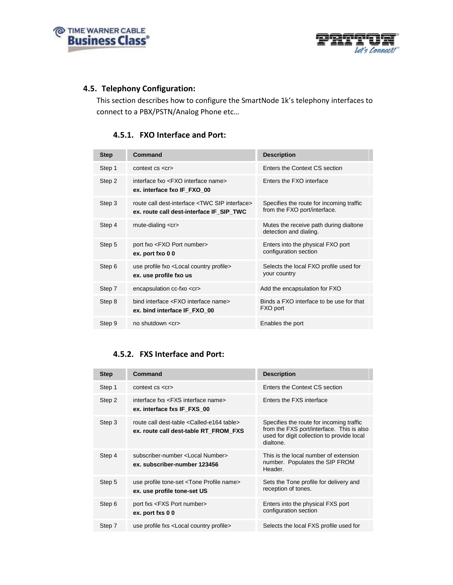



### **4.5. Telephony Configuration:**

This section describes how to configure the SmartNode 1k's telephony interfaces to connect to a PBX/PSTN/Analog Phone etc…

### **4.5.1. FXO Interface and Port:**

| <b>Step</b> | Command                                                                                                | <b>Description</b>                                                       |
|-------------|--------------------------------------------------------------------------------------------------------|--------------------------------------------------------------------------|
| Step 1      | $context \ cs \ < cr>$                                                                                 | Enters the Context CS section                                            |
| Step 2      | interface fxo <fxo interface="" name=""><br/>ex. interface fxo IF FXO 00</fxo>                         | Enters the FXO interface                                                 |
| Step 3      | route call dest-interface <twc interface="" sip=""><br/>ex. route call dest-interface IF_SIP_TWC</twc> | Specifies the route for incoming traffic<br>from the FXO port/interface. |
| Step 4      | mute-dialing $\lt c$ r>                                                                                | Mutes the receive path during dialtone<br>detection and dialing.         |
| Step 5      | port fxo <fxo number="" port=""><br/>ex. port fxo 00</fxo>                                             | Enters into the physical FXO port<br>configuration section               |
| Step 6      | use profile fxo <local country="" profile=""><br/>ex. use profile fxo us</local>                       | Selects the local FXO profile used for<br>your country                   |
| Step 7      | encapsulation cc-fxo <cr></cr>                                                                         | Add the encapsulation for FXO                                            |
| Step 8      | bind interface <fxo interface="" name=""><br/>ex. bind interface IF FXO 00</fxo>                       | Binds a FXO interface to be use for that<br>FXO port                     |
| Step 9      | no shutdown $\lt c$ r $>$                                                                              | Enables the port                                                         |

# **4.5.2. FXS Interface and Port:**

| <b>Step</b> | Command                                                                                              | <b>Description</b>                                                                                                                               |
|-------------|------------------------------------------------------------------------------------------------------|--------------------------------------------------------------------------------------------------------------------------------------------------|
| Step 1      | $context \ cs \ < cr>$                                                                               | Enters the Context CS section                                                                                                                    |
| Step 2      | interface fxs <fxs interface="" name=""><br/>ex. interface fxs IF FXS 00</fxs>                       | Enters the FXS interface                                                                                                                         |
| Step 3      | route call dest-table <called-e164 table=""><br/>ex. route call dest-table RT FROM FXS</called-e164> | Specifies the route for incoming traffic<br>from the FXS port/interface. This is also<br>used for digit collection to provide local<br>dialtone. |
| Step 4      | subscriber-number <local number=""><br/>ex. subscriber-number 123456</local>                         | This is the local number of extension<br>number. Populates the SIP FROM<br>Header.                                                               |
| Step 5      | use profile tone-set <tone name="" profile=""><br/>ex. use profile tone-set US</tone>                | Sets the Tone profile for delivery and<br>reception of tones.                                                                                    |
| Step 6      | port fxs <fxs number="" port=""><br/>ex. port fxs 0 0</fxs>                                          | Enters into the physical FXS port<br>configuration section                                                                                       |
| Step 7      | use profile fxs <local country="" profile=""></local>                                                | Selects the local FXS profile used for                                                                                                           |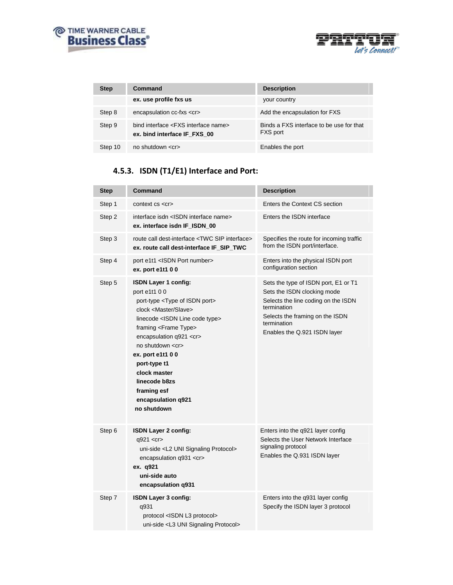



| <b>Step</b> | Command                                                                          | <b>Description</b>                                          |
|-------------|----------------------------------------------------------------------------------|-------------------------------------------------------------|
|             | ex. use profile fxs us                                                           | your country                                                |
| Step 8      | encapsulation cc-fxs <cr></cr>                                                   | Add the encapsulation for FXS                               |
| Step 9      | bind interface <fxs interface="" name=""><br/>ex. bind interface IF FXS 00</fxs> | Binds a FXS interface to be use for that<br><b>FXS</b> port |
| Step 10     | no shutdown $\lt c$ r $>$                                                        | Enables the port                                            |

# **4.5.3. ISDN (T1/E1) Interface and Port:**

| <b>Step</b> | Command                                                                                                                                                                                                                                                                                                                                                                                                        | <b>Description</b>                                                                                                                                                                                          |
|-------------|----------------------------------------------------------------------------------------------------------------------------------------------------------------------------------------------------------------------------------------------------------------------------------------------------------------------------------------------------------------------------------------------------------------|-------------------------------------------------------------------------------------------------------------------------------------------------------------------------------------------------------------|
| Step 1      | $context \ cs \ < cr>$                                                                                                                                                                                                                                                                                                                                                                                         | Enters the Context CS section                                                                                                                                                                               |
| Step 2      | interface isdn <isdn interface="" name=""><br/>ex. interface isdn IF ISDN 00</isdn>                                                                                                                                                                                                                                                                                                                            | Enters the ISDN interface                                                                                                                                                                                   |
| Step 3      | route call dest-interface <twc interface="" sip=""><br/>ex. route call dest-interface IF SIP TWC</twc>                                                                                                                                                                                                                                                                                                         | Specifies the route for incoming traffic<br>from the ISDN port/interface.                                                                                                                                   |
| Step 4      | port e1t1 <isdn number="" port=""><br/>ex. port e1t1 0 0</isdn>                                                                                                                                                                                                                                                                                                                                                | Enters into the physical ISDN port<br>configuration section                                                                                                                                                 |
| Step 5      | <b>ISDN Layer 1 config:</b><br>port e1t1 0 0<br>port-type <type isdn="" of="" port=""><br/>clock <master slave=""><br/>linecode <isdn code="" line="" type=""><br/>framing <frame type=""/><br/>encapsulation q921 <cr><br/>no shutdown <cr><br/>ex. port e1t1 0 0<br/>port-type t1<br/>clock master<br/>linecode b8zs<br/>framing esf<br/>encapsulation q921<br/>no shutdown</cr></cr></isdn></master></type> | Sets the type of ISDN port, E1 or T1<br>Sets the ISDN clocking mode<br>Selects the line coding on the ISDN<br>termination<br>Selects the framing on the ISDN<br>termination<br>Enables the Q.921 ISDN layer |
| Step 6      | ISDN Layer 2 config:<br>q921 <cr><br/>uni-side <l2 protocol="" signaling="" uni=""><br/>encapsulation <math>q931 &lt; c</math>r&gt;<br/>ex. q921<br/>uni-side auto<br/>encapsulation q931</l2></cr>                                                                                                                                                                                                            | Enters into the q921 layer config<br>Selects the User Network Interface<br>signaling protocol<br>Enables the Q.931 ISDN layer                                                                               |
| Step 7      | ISDN Layer 3 config:<br>q931<br>protocol <isdn l3="" protocol=""><br/>uni-side <l3 protocol="" signaling="" uni=""></l3></isdn>                                                                                                                                                                                                                                                                                | Enters into the q931 layer config<br>Specify the ISDN layer 3 protocol                                                                                                                                      |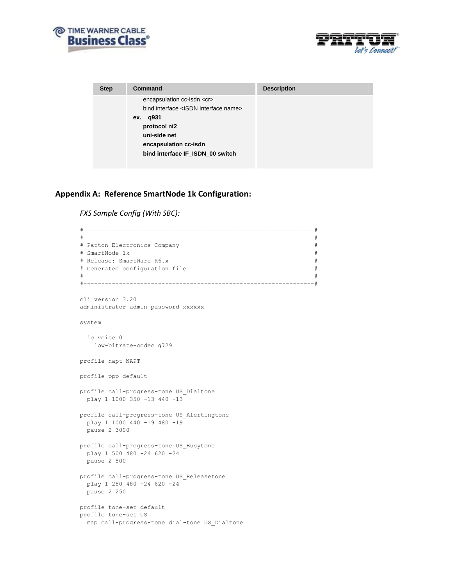



| <b>Step</b> | Command                                                                                                                                                                                             | <b>Description</b> |
|-------------|-----------------------------------------------------------------------------------------------------------------------------------------------------------------------------------------------------|--------------------|
|             | encapsulation cc-isdn <cr><br/>bind interface <isdn interface="" name=""><br/>ex. q931<br/>protocol ni2<br/>uni-side net<br/>encapsulation cc-isdn<br/>bind interface IF ISDN 00 switch</isdn></cr> |                    |

### **Appendix A: Reference SmartNode 1k Configuration:**

*FXS Sample Config (With SBC):*

```
#-----------------------------------------------------------------#
# #
# Patton Electronics Company #
# SmartNode 1k #
# Release: SmartWare R6.x #
# Generated configuration file \## #
#-----------------------------------------------------------------#
cli version 3.20
administrator admin password xxxxxx
system
  ic voice 0
   low-bitrate-codec g729
profile napt NAPT
profile ppp default
profile call-progress-tone US_Dialtone
  play 1 1000 350 -13 440 -13
profile call-progress-tone US_Alertingtone
  play 1 1000 440 -19 480 -19
  pause 2 3000
profile call-progress-tone US_Busytone
  play 1 500 480 -24 620 -24
  pause 2 500
profile call-progress-tone US_Releasetone
 play 1 250 480 -24 620 -24
  pause 2 250
profile tone-set default
profile tone-set US
  map call-progress-tone dial-tone US_Dialtone
```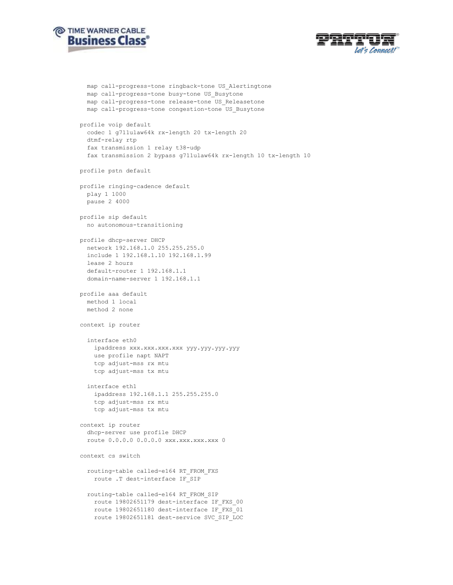



```
 map call-progress-tone ringback-tone US_Alertingtone
   map call-progress-tone busy-tone US_Busytone
   map call-progress-tone release-tone US_Releasetone
   map call-progress-tone congestion-tone US_Busytone
profile voip default
   codec 1 g711ulaw64k rx-length 20 tx-length 20
   dtmf-relay rtp
   fax transmission 1 relay t38-udp
   fax transmission 2 bypass g711ulaw64k rx-length 10 tx-length 10
profile pstn default
profile ringing-cadence default
   play 1 1000
  pause 2 4000
profile sip default
  no autonomous-transitioning
profile dhcp-server DHCP
  network 192.168.1.0 255.255.255.0
   include 1 192.168.1.10 192.168.1.99
   lease 2 hours
   default-router 1 192.168.1.1
   domain-name-server 1 192.168.1.1
profile aaa default
  method 1 local
  method 2 none
context ip router
   interface eth0
     ipaddress xxx.xxx.xxx.xxx yyy.yyy.yyy.yyy 
     use profile napt NAPT
     tcp adjust-mss rx mtu
     tcp adjust-mss tx mtu
   interface eth1
     ipaddress 192.168.1.1 255.255.255.0
     tcp adjust-mss rx mtu
     tcp adjust-mss tx mtu
context ip router
   dhcp-server use profile DHCP
  route 0.0.0.0 0.0.0.0 xxx.xxx.xxx.xxx 0
context cs switch
   routing-table called-e164 RT_FROM_FXS
    route .T dest-interface IF_SIP
   routing-table called-e164 RT_FROM_SIP
    route 19802651179 dest-interface IF_FXS_00
    route 19802651180 dest-interface IF_FXS_01
    route 19802651181 dest-service SVC_SIP_LOC
```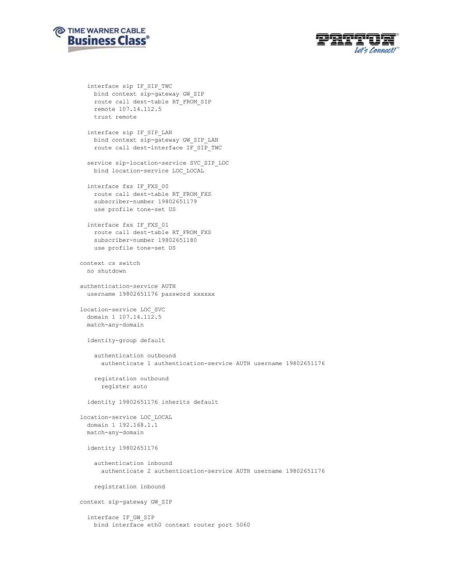



 interface sip IF\_SIP\_TWC bind context sip-gateway GW\_SIP route call dest-table RT\_FROM\_SIP remote 107.14.112.5 trust remote

interface sip IF SIP LAN bind context sip-gateway GW\_SIP\_LAN route call dest-interface IF\_SIP\_TWC

 service sip-location-service SVC\_SIP\_LOC bind location-service LOC\_LOCAL

 interface fxs IF\_FXS\_00 route call dest-table RT\_FROM\_FXS subscriber-number 19802651179 use profile tone-set US

 interface fxs IF\_FXS\_01 route call dest-table RT\_FROM\_FXS subscriber-number 19802651180 use profile tone-set US

context cs switch no shutdown

authentication-service AUTH username 19802651176 password xxxxxx

location-service LOC\_SVC domain 1 107.14.112.5 match-any-domain

identity-group default

 authentication outbound authenticate 1 authentication-service AUTH username 19802651176

 registration outbound register auto

identity 19802651176 inherits default

```
location-service LOC_LOCAL
  domain 1 192.168.1.1
  match-any-domain
```
identity 19802651176

 authentication inbound authenticate 2 authentication-service AUTH username 19802651176

registration inbound

context sip-gateway GW\_SIP

 interface IF\_GW\_SIP bind interface eth0 context router port 5060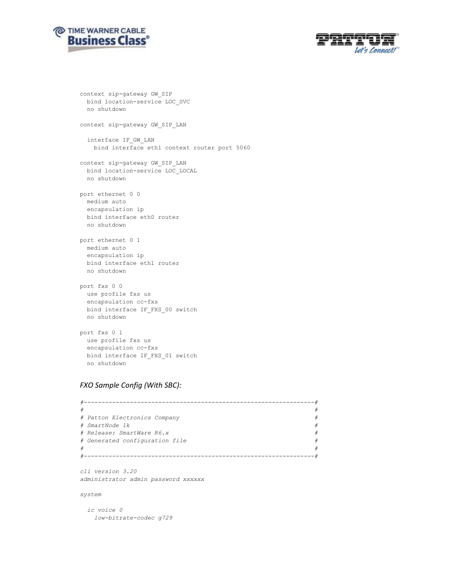



```
context sip-gateway GW_SIP
  bind location-service LOC_SVC
  no shutdown
context sip-gateway GW_SIP_LAN
   interface IF_GW_LAN
    bind interface eth1 context router port 5060
context sip-gateway GW_SIP_LAN
   bind location-service LOC_LOCAL
   no shutdown
port ethernet 0 0
  medium auto
  encapsulation ip
  bind interface eth0 router
  no shutdown
port ethernet 0 1
  medium auto
  encapsulation ip
  bind interface eth1 router
  no shutdown
port fxs 0 0
  use profile fxs us
   encapsulation cc-fxs
 bind interface IF FXS 00 switch
  no shutdown
port fxs 0 1
  use profile fxs us
  encapsulation cc-fxs
  bind interface IF_FXS_01 switch
```
#### *FXO Sample Config (With SBC):*

no shutdown

```
#-----------------------------------------------------------------#
# #
# Patton Electronics Company #
# SmartNode 1k #
# Release: SmartWare R6.x #
# Generated configuration file #
# #
#-----------------------------------------------------------------#
```
*cli version 3.20 administrator admin password xxxxxx*

*system*

 *ic voice 0 low-bitrate-codec g729*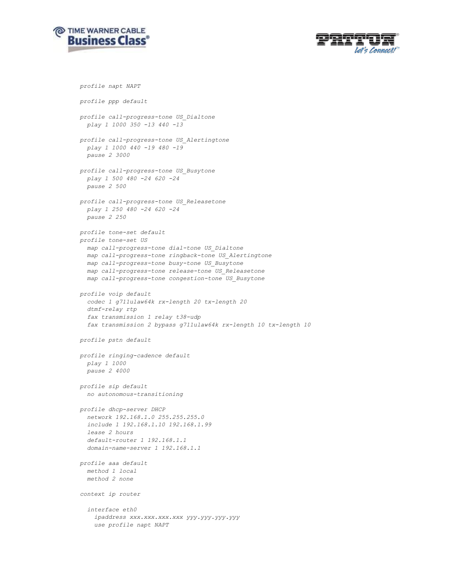



```
profile napt NAPT
profile ppp default
profile call-progress-tone US_Dialtone
   play 1 1000 350 -13 440 -13
profile call-progress-tone US_Alertingtone
   play 1 1000 440 -19 480 -19
   pause 2 3000
profile call-progress-tone US_Busytone
  play 1 500 480 -24 620 -24
   pause 2 500
profile call-progress-tone US_Releasetone
  play 1 250 480 -24 620 -24
   pause 2 250
profile tone-set default
profile tone-set US
   map call-progress-tone dial-tone US_Dialtone
   map call-progress-tone ringback-tone US_Alertingtone
   map call-progress-tone busy-tone US_Busytone
   map call-progress-tone release-tone US_Releasetone
   map call-progress-tone congestion-tone US_Busytone
profile voip default
   codec 1 g711ulaw64k rx-length 20 tx-length 20
   dtmf-relay rtp
   fax transmission 1 relay t38-udp
   fax transmission 2 bypass g711ulaw64k rx-length 10 tx-length 10
profile pstn default
profile ringing-cadence default
  play 1 1000
   pause 2 4000
profile sip default
   no autonomous-transitioning
profile dhcp-server DHCP
   network 192.168.1.0 255.255.255.0
   include 1 192.168.1.10 192.168.1.99
   lease 2 hours
   default-router 1 192.168.1.1
   domain-name-server 1 192.168.1.1
profile aaa default
  method 1 local
  method 2 none
context ip router
   interface eth0
     ipaddress xxx.xxx.xxx.xxx yyy.yyy.yyy.yyy 
     use profile napt NAPT
```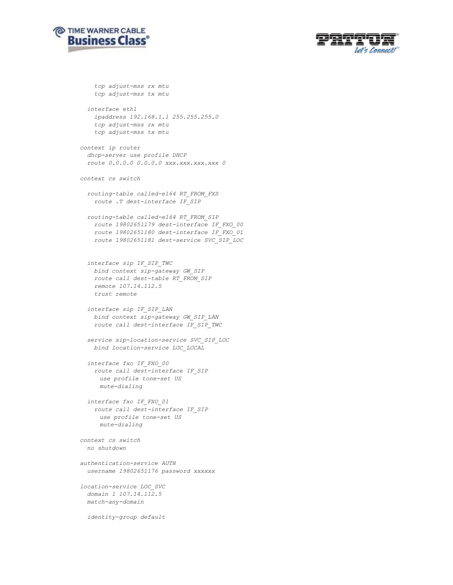



```
 tcp adjust-mss rx mtu
     tcp adjust-mss tx mtu
   interface eth1
     ipaddress 192.168.1.1 255.255.255.0
     tcp adjust-mss rx mtu
     tcp adjust-mss tx mtu
context ip router
   dhcp-server use profile DHCP
   route 0.0.0.0 0.0.0.0 xxx.xxx.xxx.xxx 0
context cs switch
  routing-table called-e164 RT_FROM_FXS
    route .T dest-interface IF_SIP
  routing-table called-e164 RT_FROM_SIP
    route 19802651179 dest-interface IF_FXO_00
    route 19802651180 dest-interface IF_FXO_01
    route 19802651181 dest-service SVC_SIP_LOC
   interface sip IF_SIP_TWC
    bind context sip-gateway GW_SIP
    route call dest-table RT_FROM_SIP
    remote 107.14.112.5
    trust remote
   interface sip IF_SIP_LAN
    bind context sip-gateway GW_SIP_LAN
    route call dest-interface IF_SIP_TWC
   service sip-location-service SVC_SIP_LOC
    bind location-service LOC_LOCAL
   interface fxo IF_FXO_00
     route call dest-interface IF_SIP
     use profile tone-set US
     mute-dialing
   interface fxo IF_FXO_01
     route call dest-interface IF_SIP
     use profile tone-set US
     mute-dialing
context cs switch
  no shutdown
authentication-service AUTH
  username 19802651176 password xxxxxx
location-service LOC_SVC
  domain 1 107.14.112.5
  match-any-domain
  identity-group default
```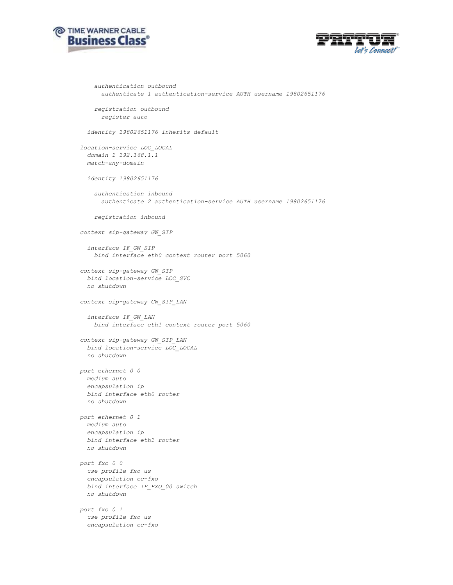



```
 authentication outbound
       authenticate 1 authentication-service AUTH username 19802651176
     registration outbound
       register auto
   identity 19802651176 inherits default
location-service LOC_LOCAL
   domain 1 192.168.1.1
   match-any-domain
   identity 19802651176
     authentication inbound
       authenticate 2 authentication-service AUTH username 19802651176
     registration inbound
context sip-gateway GW_SIP
   interface IF_GW_SIP
    bind interface eth0 context router port 5060
context sip-gateway GW_SIP
  bind location-service LOC_SVC
   no shutdown
context sip-gateway GW_SIP_LAN
  interface IF_GW_LAN
    bind interface eth1 context router port 5060
context sip-gateway GW_SIP_LAN
  bind location-service LOC_LOCAL
   no shutdown
port ethernet 0 0
  medium auto
   encapsulation ip
   bind interface eth0 router
   no shutdown
port ethernet 0 1
   medium auto
   encapsulation ip
  bind interface eth1 router
   no shutdown
port fxo 0 0
  use profile fxo us
   encapsulation cc-fxo
  bind interface IF_FXO_00 switch
  no shutdown
port fxo 0 1
  use profile fxo us
   encapsulation cc-fxo
```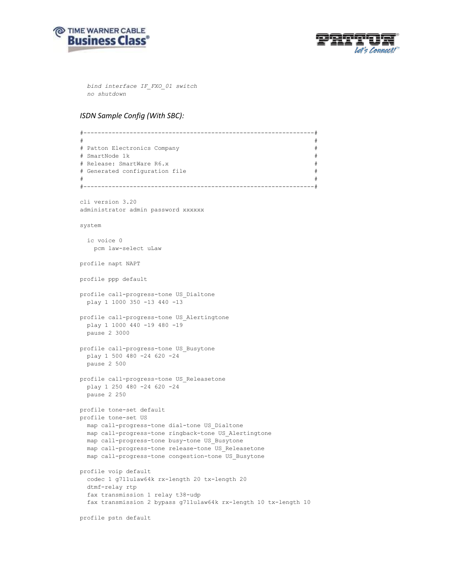



 *bind interface IF\_FXO\_01 switch no shutdown*

#### *ISDN Sample Config (With SBC):*

```
#-----------------------------------------------------------------#
# #
# Patton Electronics Company #
# SmartNode 1k
# Release: SmartWare R6.x
# Generated configuration file
# #
#-----------------------------------------------------------------#
cli version 3.20
administrator admin password xxxxxx
system
  ic voice 0
    pcm law-select uLaw
profile napt NAPT
profile ppp default
profile call-progress-tone US_Dialtone
  play 1 1000 350 -13 440 -13
profile call-progress-tone US_Alertingtone
  play 1 1000 440 -19 480 -19
  pause 2 3000
profile call-progress-tone US_Busytone
  play 1 500 480 -24 620 -24
  pause 2 500
profile call-progress-tone US_Releasetone
  play 1 250 480 -24 620 -24
  pause 2 250
profile tone-set default
profile tone-set US
  map call-progress-tone dial-tone US_Dialtone
  map call-progress-tone ringback-tone US_Alertingtone
  map call-progress-tone busy-tone US_Busytone
  map call-progress-tone release-tone US_Releasetone
  map call-progress-tone congestion-tone US_Busytone
profile voip default
  codec 1 g711ulaw64k rx-length 20 tx-length 20
  dtmf-relay rtp
  fax transmission 1 relay t38-udp
  fax transmission 2 bypass g711ulaw64k rx-length 10 tx-length 10
profile pstn default
```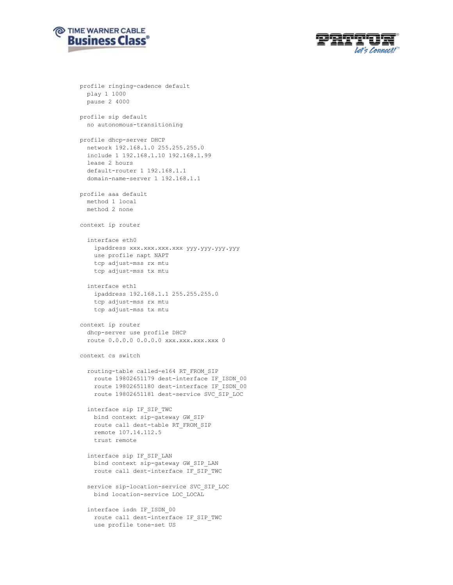



```
profile ringing-cadence default
  play 1 1000
   pause 2 4000
profile sip default
  no autonomous-transitioning
profile dhcp-server DHCP
   network 192.168.1.0 255.255.255.0
   include 1 192.168.1.10 192.168.1.99
   lease 2 hours
   default-router 1 192.168.1.1
   domain-name-server 1 192.168.1.1
profile aaa default
  method 1 local
   method 2 none
context ip router
   interface eth0
     ipaddress xxx.xxx.xxx.xxx yyy.yyy.yyy.yyy 
     use profile napt NAPT
     tcp adjust-mss rx mtu
     tcp adjust-mss tx mtu
   interface eth1
    ipaddress 192.168.1.1 255.255.255.0
     tcp adjust-mss rx mtu
     tcp adjust-mss tx mtu
context ip router
  dhcp-server use profile DHCP
   route 0.0.0.0 0.0.0.0 xxx.xxx.xxx.xxx 0
context cs switch
   routing-table called-e164 RT_FROM_SIP
    route 19802651179 dest-interface IF_ISDN_00
    route 19802651180 dest-interface IF_ISDN_00
    route 19802651181 dest-service SVC_SIP_LOC
   interface sip IF_SIP_TWC
    bind context sip-gateway GW_SIP
     route call dest-table RT_FROM_SIP
     remote 107.14.112.5
     trust remote
   interface sip IF_SIP_LAN
    bind context sip-gateway GW_SIP_LAN
     route call dest-interface IF_SIP_TWC
   service sip-location-service SVC_SIP_LOC
    bind location-service LOC_LOCAL
   interface isdn IF_ISDN_00
    route call dest-interface IF_SIP_TWC
     use profile tone-set US
```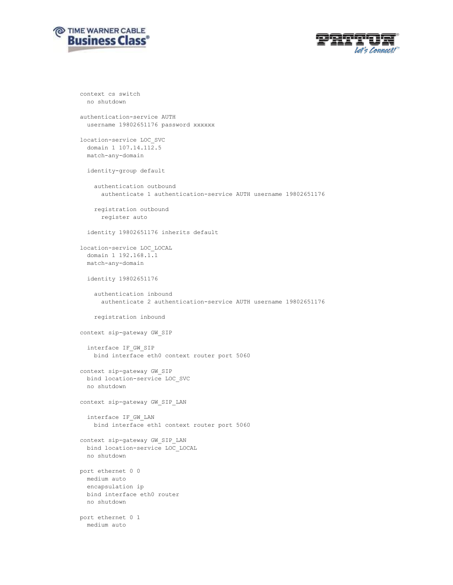



```
context cs switch
  no shutdown
authentication-service AUTH
   username 19802651176 password xxxxxx
location-service LOC_SVC
   domain 1 107.14.112.5
   match-any-domain
   identity-group default
     authentication outbound
       authenticate 1 authentication-service AUTH username 19802651176
     registration outbound
      register auto
   identity 19802651176 inherits default
location-service LOC_LOCAL
   domain 1 192.168.1.1
   match-any-domain
   identity 19802651176
     authentication inbound
      authenticate 2 authentication-service AUTH username 19802651176
     registration inbound
context sip-gateway GW_SIP
  interface IF_GW_SIP
    bind interface eth0 context router port 5060
context sip-gateway GW_SIP
  bind location-service LOC_SVC
  no shutdown
context sip-gateway GW_SIP_LAN
   interface IF_GW_LAN
    bind interface eth1 context router port 5060
context sip-gateway GW_SIP_LAN
  bind location-service LOC_LOCAL
  no shutdown
port ethernet 0 0
   medium auto
   encapsulation ip
  bind interface eth0 router
  no shutdown
port ethernet 0 1
   medium auto
```